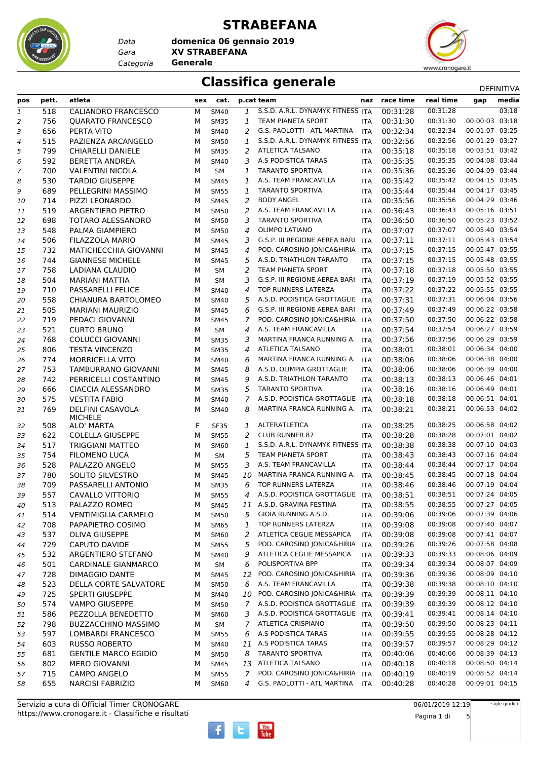

*Data Categoria* **Generale**

#### **STRABEFANA**

*Gara* **XV STRABEFANA domenica 06 gennaio 2019**



#### **Classifica generale** Definitival DEFINITIVA

| pos                           | pett. | atleta                      | sex | cat.        |                | p.cat team                        | naz        | race time | real time | gap            | media |
|-------------------------------|-------|-----------------------------|-----|-------------|----------------|-----------------------------------|------------|-----------|-----------|----------------|-------|
| $\ensuremath{\mathnormal{1}}$ | 518   | CALIANDRO FRANCESCO         | м   | <b>SM40</b> | 1              | S.S.D. A.R.L. DYNAMYK FITNESS ITA |            | 00:31:28  | 00:31:28  |                | 03:18 |
| 2                             | 756   | <b>OUARATO FRANCESCO</b>    | М   | <b>SM35</b> | 1              | TEAM PIANETA SPORT                | <b>ITA</b> | 00:31:30  | 00:31:30  | 00:00:03       | 03:18 |
| 3                             | 656   | PERTA VITO                  | М   | SM40        | 2              | G.S. PAOLOTTI - ATL MARTINA       | <b>ITA</b> | 00:32:34  | 00:32:34  | 00:01:07 03:25 |       |
| 4                             | 515   | PAZIENZA ARCANGELO          | М   | <b>SM50</b> | 1              | S.S.D. A.R.L. DYNAMYK FITNESS ITA |            | 00:32:56  | 00:32:56  | 00:01:29 03:27 |       |
| 5                             | 799   | <b>CHIARELLI DANIELE</b>    | М   | <b>SM35</b> | 2              | ATLETICA TALSANO                  | <b>ITA</b> | 00:35:18  | 00:35:18  | 00:03:51 03:42 |       |
| 6                             | 592   | <b>BERETTA ANDREA</b>       | М   | <b>SM40</b> | 3              | A.S PODISTICA TARAS               | <b>ITA</b> | 00:35:35  | 00:35:35  | 00:04:08 03:44 |       |
| 7                             | 700   | <b>VALENTINI NICOLA</b>     | М   | <b>SM</b>   | 1              | <b>TARANTO SPORTIVA</b>           | <b>ITA</b> | 00:35:36  | 00:35:36  | 00:04:09 03:44 |       |
| 8                             | 530   | <b>TARDIO GIUSEPPE</b>      | М   | <b>SM45</b> | 1              | A.S. TEAM FRANCAVILLA             | <b>ITA</b> | 00:35:42  | 00:35:42  | 00:04:15 03:45 |       |
| 9                             | 689   | PELLEGRINI MASSIMO          | М   | <b>SM55</b> | 1              | <b>TARANTO SPORTIVA</b>           | <b>ITA</b> | 00:35:44  | 00:35:44  | 00:04:17 03:45 |       |
| 10                            | 714   | PIZZI LEONARDO              | М   | <b>SM45</b> | 2              | <b>BODY ANGEL</b>                 | ITA        | 00:35:56  | 00:35:56  | 00:04:29 03:46 |       |
| 11                            | 519   | ARGENTIERO PIETRO           | М   | <b>SM50</b> | $\overline{2}$ | A.S. TEAM FRANCAVILLA             | ITA        | 00:36:43  | 00:36:43  | 00:05:16 03:51 |       |
| 12                            | 698   | TOTARO ALESSANDRO           | М   | <b>SM50</b> | 3              | <b>TARANTO SPORTIVA</b>           | ITA        | 00:36:50  | 00:36:50  | 00:05:23 03:52 |       |
| 13                            | 548   | PALMA GIAMPIERO             | М   | <b>SM50</b> | 4              | <b>OLIMPO LATIANO</b>             | <b>ITA</b> | 00:37:07  | 00:37:07  | 00:05:40 03:54 |       |
| 14                            | 506   | FILAZZOLA MARIO             | М   | <b>SM45</b> | 3              | G.S.P. III REGIONE AEREA BARI     | <b>ITA</b> | 00:37:11  | 00:37:11  | 00:05:43 03:54 |       |
| 15                            | 732   | MATICHECCHIA GIOVANNI       | М   | <b>SM45</b> | $\overline{4}$ | POD. CAROSINO JONICA&HIRIA        | <b>ITA</b> | 00:37:15  | 00:37:15  | 00:05:47 03:55 |       |
| 16                            | 744   | <b>GIANNESE MICHELE</b>     | М   | <b>SM45</b> | 5              | A.S.D. TRIATHLON TARANTO          | <b>ITA</b> | 00:37:15  | 00:37:15  | 00:05:48 03:55 |       |
| 17                            | 758   | LADIANA CLAUDIO             | м   | <b>SM</b>   | $\overline{2}$ | <b>TEAM PIANETA SPORT</b>         | ITA        | 00:37:18  | 00:37:18  | 00:05:50 03:55 |       |
| 18                            | 504   | <b>MARIANI MATTIA</b>       | М   | <b>SM</b>   | 3              | G.S.P. III REGIONE AEREA BARI     | <b>ITA</b> | 00:37:19  | 00:37:19  | 00:05:52 03:55 |       |
| 19                            | 710   | <b>PASSARELLI FELICE</b>    | М   | <b>SM40</b> | 4              | TOP RUNNERS LATERZA               | <b>ITA</b> | 00:37:22  | 00:37:22  | 00:05:55 03:55 |       |
| 20                            | 558   | CHIANURA BARTOLOMEO         | М   | SM40        | 5              | A.S.D. PODISTICA GROTTAGLIE       | <b>ITA</b> | 00:37:31  | 00:37:31  | 00:06:04 03:56 |       |
| 21                            | 505   | <b>MARIANI MAURIZIO</b>     | М   | <b>SM45</b> | 6              | G.S.P. III REGIONE AEREA BARI     | <b>ITA</b> | 00:37:49  | 00:37:49  | 00:06:22 03:58 |       |
|                               | 719   | PEDACI GIOVANNI             | М   | <b>SM45</b> | $\overline{7}$ | POD. CAROSINO JONICA&HIRIA ITA    |            | 00:37:50  | 00:37:50  | 00:06:22 03:58 |       |
| 22<br>23                      | 521   | <b>CURTO BRUNO</b>          | м   | <b>SM</b>   | 4              | A.S. TEAM FRANCAVILLA             | <b>ITA</b> | 00:37:54  | 00:37:54  | 00:06:27 03:59 |       |
| 24                            | 768   | <b>COLUCCI GIOVANNI</b>     | М   | <b>SM35</b> | 3              | MARTINA FRANCA RUNNING A.         | <b>ITA</b> | 00:37:56  | 00:37:56  | 00:06:29 03:59 |       |
| 25                            | 806   | <b>TESTA VINCENZO</b>       | М   | <b>SM35</b> | 4              | <b>ATLETICA TALSANO</b>           | <b>ITA</b> | 00:38:01  | 00:38:01  | 00:06:34 04:00 |       |
| 26                            | 774   | <b>MORRICELLA VITO</b>      | М   | SM40        | 6              | MARTINA FRANCA RUNNING A.         | <b>ITA</b> | 00:38:06  | 00:38:06  | 00:06:38 04:00 |       |
| 27                            | 753   | TAMBURRANO GIOVANNI         | М   | <b>SM45</b> | 8              | A.S.D. OLIMPIA GROTTAGLIE         | <b>ITA</b> | 00:38:06  | 00:38:06  | 00:06:39 04:00 |       |
| 28                            | 742   | PERRICELLI COSTANTINO       | М   | <b>SM45</b> | 9              | A.S.D. TRIATHLON TARANTO          | <b>ITA</b> | 00:38:13  | 00:38:13  | 00:06:46 04:01 |       |
| 29                            | 666   | <b>CIACCIA ALESSANDRO</b>   | М   | <b>SM35</b> | 5              | <b>TARANTO SPORTIVA</b>           | ITA        | 00:38:16  | 00:38:16  | 00:06:49 04:01 |       |
| 30                            | 575   | <b>VESTITA FABIO</b>        | М   | SM40        | 7              | A.S.D. PODISTICA GROTTAGLIE       | <b>ITA</b> | 00:38:18  | 00:38:18  | 00:06:51 04:01 |       |
| 31                            | 769   | DELFINI CASAVOLA            | м   | <b>SM40</b> | 8              | MARTINA FRANCA RUNNING A.         | <b>ITA</b> | 00:38:21  | 00:38:21  | 00:06:53 04:02 |       |
|                               |       | <b>MICHELE</b>              |     |             |                |                                   |            |           |           |                |       |
| 32                            | 508   | ALO' MARTA                  | F   | <b>SF35</b> | 1              | ALTERATLETICA                     | <b>ITA</b> | 00:38:25  | 00:38:25  | 00:06:58 04:02 |       |
| 33                            | 622   | <b>COLELLA GIUSEPPE</b>     | М   | <b>SM55</b> | 2              | <b>CLUB RUNNER 87</b>             | <b>ITA</b> | 00:38:28  | 00:38:28  | 00:07:01 04:02 |       |
| 34                            | 517   | <b>TRIGGIANI MATTEO</b>     | м   | SM60        | 1              | S.S.D. A.R.L. DYNAMYK FITNESS ITA |            | 00:38:38  | 00:38:38  | 00:07:10 04:03 |       |
| 35                            | 754   | <b>FILOMENO LUCA</b>        | м   | <b>SM</b>   | 5              | TEAM PIANETA SPORT                | <b>ITA</b> | 00:38:43  | 00:38:43  | 00:07:16 04:04 |       |
| 36                            | 528   | PALAZZO ANGELO              | м   | <b>SM55</b> | 3              | A.S. TEAM FRANCAVILLA             | ITA        | 00:38:44  | 00:38:44  | 00:07:17 04:04 |       |
| 37                            | 780   | SOLITO SILVESTRO            | М   | <b>SM45</b> | 10             | MARTINA FRANCA RUNNING A.         | <b>ITA</b> | 00:38:45  | 00:38:45  | 00:07:18 04:04 |       |
| 38                            | 709   | PASSARELLI ANTONIO          | М   | <b>SM35</b> | 6              | TOP RUNNERS LATERZA               | <b>ITA</b> | 00:38:46  | 00:38:46  | 00:07:19 04:04 |       |
| 39                            | 557   | CAVALLO VITTORIO            | М   | <b>SM55</b> | 4              | A.S.D. PODISTICA GROTTAGLIE       | ITA        | 00:38:51  | 00:38:51  | 00:07:24 04:05 |       |
| 40                            | 513   | PALAZZO ROMEO               | М   | <b>SM45</b> |                | 11 A.S.D. GRAVINA FESTINA         | <b>ITA</b> | 00:38:55  | 00:38:55  | 00:07:27 04:05 |       |
| 41                            | 514   | <b>VENTIMIGLIA CARMELO</b>  | М   | <b>SM50</b> | 5              | GIOIA RUNNING A.S.D.              | <b>ITA</b> | 00:39:06  | 00:39:06  | 00:07:39 04:06 |       |
| 42                            | 708   | PAPAPIETRO COSIMO           | М   | <b>SM65</b> | 1              | TOP RUNNERS LATERZA               | <b>ITA</b> | 00:39:08  | 00:39:08  | 00:07:40 04:07 |       |
| 43                            | 537   | <b>OLIVA GIUSEPPE</b>       | м   | SM60        | 2              | ATLETICA CEGLIE MESSAPICA         | <b>ITA</b> | 00:39:08  | 00:39:08  | 00:07:41 04:07 |       |
| 44                            | 729   | <b>CAPUTO DAVIDE</b>        | м   | <b>SM55</b> | 5              | POD. CAROSINO JONICA&HIRIA        | ITA        | 00:39:26  | 00:39:26  | 00:07:58 04:08 |       |
| 45                            | 532   | ARGENTIERO STEFANO          | М   | SM40        | 9              | ATLETICA CEGLIE MESSAPICA         | <b>ITA</b> | 00:39:33  | 00:39:33  | 00:08:06 04:09 |       |
| 46                            | 501   | <b>CARDINALE GIANMARCO</b>  | М   | SM          | 6              | POLISPORTIVA BPP                  | ITA        | 00:39:34  | 00:39:34  | 00:08:07 04:09 |       |
| 47                            | 728   | DIMAGGIO DANTE              | м   | <b>SM45</b> | 12             | POD. CAROSINO JONICA&HIRIA        | ITA        | 00:39:36  | 00:39:36  | 00:08:09 04:10 |       |
| 48                            | 523   | DELLA CORTE SALVATORE       | м   | <b>SM50</b> | 6              | A.S. TEAM FRANCAVILLA             | <b>ITA</b> | 00:39:38  | 00:39:38  | 00:08:10 04:10 |       |
| 49                            | 725   | <b>SPERTI GIUSEPPE</b>      | м   | SM40        | 10             | POD. CAROSINO JONICA&HIRIA        | <b>ITA</b> | 00:39:39  | 00:39:39  | 00:08:11 04:10 |       |
| 50                            | 574   | <b>VAMPO GIUSEPPE</b>       | м   | <b>SM50</b> | 7              | A.S.D. PODISTICA GROTTAGLIE ITA   |            | 00:39:39  | 00:39:39  | 00:08:12 04:10 |       |
| 51                            | 586   | PEZZOLLA BENEDETTO          | м   | SM60        | 3              | A.S.D. PODISTICA GROTTAGLIE ITA   |            | 00:39:41  | 00:39:41  | 00:08:14 04:10 |       |
| 52                            | 798   | <b>BUZZACCHINO MASSIMO</b>  | м   | SM          | $\overline{7}$ | ATLETICA CRISPIANO                | <b>ITA</b> | 00:39:50  | 00:39:50  | 00:08:23 04:11 |       |
| 53                            | 597   | LOMBARDI FRANCESCO          | м   | <b>SM55</b> | 6              | A.S PODISTICA TARAS               | <b>ITA</b> | 00:39:55  | 00:39:55  | 00:08:28 04:12 |       |
| 54                            | 603   | <b>RUSSO ROBERTO</b>        | м   | SM40        | 11             | A.S PODISTICA TARAS               | <b>ITA</b> | 00:39:57  | 00:39:57  | 00:08:29 04:12 |       |
| 55                            | 681   | <b>GENTILE MARCO EGIDIO</b> | М   | <b>SM50</b> | 8              | <b>TARANTO SPORTIVA</b>           | <b>ITA</b> | 00:40:06  | 00:40:06  | 00:08:39 04:13 |       |
| 56                            | 802   | <b>MERO GIOVANNI</b>        | м   | <b>SM45</b> | 13             | ATLETICA TALSANO                  | <b>ITA</b> | 00:40:18  | 00:40:18  | 00:08:50 04:14 |       |
| 57                            | 715   | <b>CAMPO ANGELO</b>         | М   | <b>SM55</b> | 7              | POD. CAROSINO JONICA&HIRIA        | ITA        | 00:40:19  | 00:40:19  | 00:08:52 04:14 |       |
| 58                            | 655   | <b>NARCISI FABRIZIO</b>     | М   | SM60        | 4              | G.S. PAOLOTTI - ATL MARTINA       | <b>ITA</b> | 00:40:28  | 00:40:28  | 00:09:01 04:15 |       |



sigle giudici

Pagina 1 di 5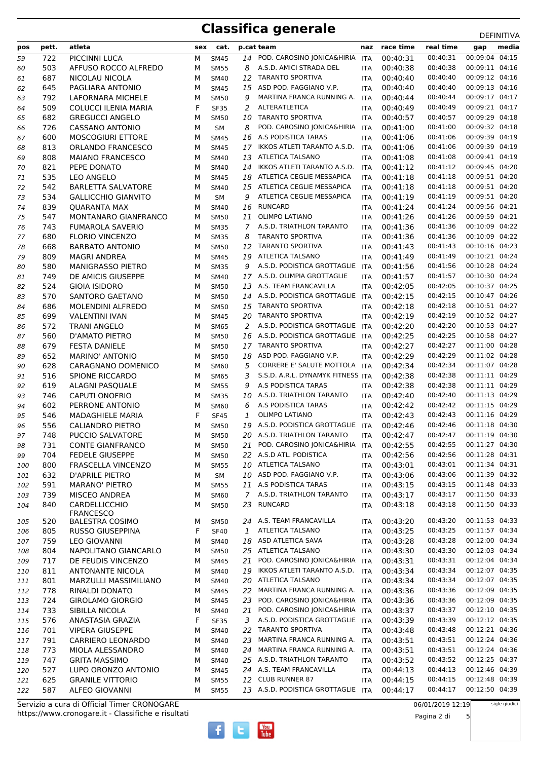# **Classifica generale** DEFINITIVA

| pos      | pett.      | atleta                                            | sex    | cat.                       |                     | p.cat team                                  | naz                      | race time            | real time            | media<br>gap                     |
|----------|------------|---------------------------------------------------|--------|----------------------------|---------------------|---------------------------------------------|--------------------------|----------------------|----------------------|----------------------------------|
| 59       | 722        | PICCINNI LUCA                                     | М      | <b>SM45</b>                | 14                  | POD. CAROSINO JONICA&HIRIA                  | <b>ITA</b>               | 00:40:31             | 00:40:31             | 00:09:04 04:15                   |
| 60       | 503        | AFFUSO ROCCO ALFREDO                              | M      | <b>SM55</b>                | 8                   | A.S.D. AMICI STRADA DEL                     | <b>ITA</b>               | 00:40:38             | 00:40:38             | 00:09:11 04:16                   |
| 61       | 687        | NICOLAU NICOLA                                    | M      | SM40                       | 12                  | <b>TARANTO SPORTIVA</b>                     | ITA                      | 00:40:40             | 00:40:40             | 00:09:12 04:16                   |
| 62       | 645        | PAGLIARA ANTONIO                                  | м      | <b>SM45</b>                | 15                  | ASD POD. FAGGIANO V.P.                      | <b>ITA</b>               | 00:40:40             | 00:40:40             | 00:09:13 04:16                   |
| 63       | 792        | LAFORNARA MICHELE                                 | м      | <b>SM50</b>                | 9                   | MARTINA FRANCA RUNNING A.                   | <b>ITA</b>               | 00:40:44             | 00:40:44             | 00:09:17 04:17                   |
| 64       | 509        | COLUCCI ILENIA MARIA                              | F      | <b>SF35</b>                | 2                   | ALTERATLETICA                               | ITA                      | 00:40:49             | 00:40:49             | 00:09:21 04:17                   |
| 65       | 682        | <b>GREGUCCI ANGELO</b>                            | м      | <b>SM50</b>                | 10                  | <b>TARANTO SPORTIVA</b>                     | <b>ITA</b>               | 00:40:57             | 00:40:57             | 00:09:29 04:18                   |
| 66       | 726        | <b>CASSANO ANTONIO</b>                            | м      | <b>SM</b>                  | 8                   | POD. CAROSINO JONICA&HIRIA                  | <b>ITA</b>               | 00:41:00             | 00:41:00             | 00:09:32 04:18                   |
| 67       | 600        | <b>MOSCOGIURI ETTORE</b>                          | M      | <b>SM45</b>                | 16                  | A.S PODISTICA TARAS                         | <b>ITA</b>               | 00:41:06             | 00:41:06             | 00:09:39 04:19                   |
| 68       | 813        | ORLANDO FRANCESCO                                 | М      | <b>SM45</b>                | 17                  | IKKOS ATLETI TARANTO A.S.D.                 | <b>ITA</b>               | 00:41:06             | 00:41:06             | 00:09:39 04:19                   |
| 69       | 808        | <b>MAIANO FRANCESCO</b>                           | м      | SM40                       | 13                  | ATLETICA TALSANO                            | <b>ITA</b>               | 00:41:08             | 00:41:08             | 00:09:41 04:19                   |
| 70       | 821        | PEPE DONATO                                       | м      | <b>SM40</b>                | 14                  | IKKOS ATLETI TARANTO A.S.D.                 | <b>ITA</b>               | 00:41:12             | 00:41:12             | 00:09:45 04:20                   |
| 71       | 535        | LEO ANGELO                                        | м      | <b>SM45</b>                | 18                  | ATLETICA CEGLIE MESSAPICA                   | <b>ITA</b>               | 00:41:18             | 00:41:18             | 00:09:51 04:20                   |
| 72       | 542        | <b>BARLETTA SALVATORE</b>                         | м      | SM40                       |                     | 15 ATLETICA CEGLIE MESSAPICA                | <b>ITA</b>               | 00:41:18             | 00:41:18             | 00:09:51 04:20                   |
| 73       | 534        | <b>GALLICCHIO GIANVITO</b>                        | М      | <b>SM</b>                  | 9                   | ATLETICA CEGLIE MESSAPICA<br><b>RUNCARD</b> | ITA                      | 00:41:19             | 00:41:19             | 00:09:51 04:20<br>00:09:56 04:21 |
| 74       | 839<br>547 | <b>QUARANTA MAX</b>                               | М      | <b>SM40</b>                | 16                  | <b>OLIMPO LATIANO</b>                       | <b>ITA</b>               | 00:41:24<br>00:41:26 | 00:41:24<br>00:41:26 | 00:09:59 04:21                   |
| 75       | 743        | MONTANARO GIANFRANCO                              | м      | <b>SM50</b>                | 11<br>$\mathcal{I}$ | A.S.D. TRIATHLON TARANTO                    | <b>ITA</b>               | 00:41:36             | 00:41:36             | 00:10:09 04:22                   |
| 76<br>77 | 680        | <b>FUMAROLA SAVERIO</b><br><b>FLORIO VINCENZO</b> | М<br>м | <b>SM35</b><br><b>SM35</b> | 8                   | <b>TARANTO SPORTIVA</b>                     | <b>ITA</b><br><b>ITA</b> | 00:41:36             | 00:41:36             | 00:10:09 04:22                   |
| 78       | 668        | <b>BARBATO ANTONIO</b>                            | M      | <b>SM50</b>                | 12                  | <b>TARANTO SPORTIVA</b>                     | <b>ITA</b>               | 00:41:43             | 00:41:43             | 00:10:16 04:23                   |
| 79       | 809        | <b>MAGRI ANDREA</b>                               | M      | <b>SM45</b>                | 19                  | <b>ATLETICA TALSANO</b>                     | <b>ITA</b>               | 00:41:49             | 00:41:49             | 00:10:21 04:24                   |
| 80       | 580        | <b>MANIGRASSO PIETRO</b>                          | М      | <b>SM35</b>                | 9                   | A.S.D. PODISTICA GROTTAGLIE ITA             |                          | 00:41:56             | 00:41:56             | 00:10:28 04:24                   |
| 81       | 749        | DE AMICIS GIUSEPPE                                | м      | <b>SM40</b>                |                     | 17 A.S.D. OLIMPIA GROTTAGLIE                | <b>ITA</b>               | 00:41:57             | 00:41:57             | 00:10:30 04:24                   |
| 82       | 524        | <b>GIOIA ISIDORO</b>                              | M      | <b>SM50</b>                | 13                  | A.S. TEAM FRANCAVILLA                       | <b>ITA</b>               | 00:42:05             | 00:42:05             | 00:10:37 04:25                   |
| 83       | 570        | SANTORO GAETANO                                   | м      | <b>SM50</b>                |                     | 14 A.S.D. PODISTICA GROTTAGLIE              | <b>ITA</b>               | 00:42:15             | 00:42:15             | 00:10:47 04:26                   |
| 84       | 686        | MOLENDINI ALFREDO                                 | м      | <b>SM50</b>                | 15                  | <b>TARANTO SPORTIVA</b>                     | <b>ITA</b>               | 00:42:18             | 00:42:18             | 00:10:51 04:27                   |
| 85       | 699        | <b>VALENTINI IVAN</b>                             | M      | <b>SM45</b>                | 20                  | <b>TARANTO SPORTIVA</b>                     | <b>ITA</b>               | 00:42:19             | 00:42:19             | 00:10:52 04:27                   |
| 86       | 572        | <b>TRANI ANGELO</b>                               | М      | <b>SM65</b>                | 2                   | A.S.D. PODISTICA GROTTAGLIE                 | ITA                      | 00:42:20             | 00:42:20             | 00:10:53 04:27                   |
| 87       | 560        | D'AMATO PIETRO                                    | м      | <b>SM50</b>                | 16                  | A.S.D. PODISTICA GROTTAGLIE ITA             |                          | 00:42:25             | 00:42:25             | 00:10:58 04:27                   |
| 88       | 679        | <b>FESTA DANIELE</b>                              | м      | <b>SM50</b>                | 17                  | <b>TARANTO SPORTIVA</b>                     | <b>ITA</b>               | 00:42:27             | 00:42:27             | 00:11:00 04:28                   |
| 89       | 652        | MARINO' ANTONIO                                   | м      | <b>SM50</b>                | 18                  | ASD POD. FAGGIANO V.P.                      | <b>ITA</b>               | 00:42:29             | 00:42:29             | 00:11:02 04:28                   |
| 90       | 628        | CARAGNANO DOMENICO                                | м      | SM60                       | 5                   | CORRERE E' SALUTE MOTTOLA                   | <b>ITA</b>               | 00:42:34             | 00:42:34             | 00:11:07 04:28                   |
| 91       | 516        | <b>SPIONE RICCARDO</b>                            | М      | <b>SM65</b>                | 3                   | S.S.D. A.R.L. DYNAMYK FITNESS ITA           |                          | 00:42:38             | 00:42:38             | 00:11:11 04:29                   |
| 92       | 619        | <b>ALAGNI PASQUALE</b>                            | М      | <b>SM55</b>                | 9                   | A.S PODISTICA TARAS                         | <b>ITA</b>               | 00:42:38             | 00:42:38             | 00:11:11 04:29                   |
| 93       | 746        | <b>CAPUTI ONOFRIO</b>                             | м      | <b>SM35</b>                | 10                  | A.S.D. TRIATHLON TARANTO                    | <b>ITA</b>               | 00:42:40             | 00:42:40             | 00:11:13 04:29                   |
| 94       | 602        | PERRONE ANTONIO                                   | м      | <b>SM60</b>                | 6                   | A.S PODISTICA TARAS                         | <b>ITA</b>               | 00:42:42             | 00:42:42             | 00:11:15 04:29                   |
| 95       | 546        | <b>MADAGHIELE MARIA</b>                           | F      | <b>SF45</b>                | 1                   | <b>OLIMPO LATIANO</b>                       | <b>ITA</b>               | 00:42:43             | 00:42:43             | 00:11:16 04:29                   |
| 96       | 556        | <b>CALIANDRO PIETRO</b>                           | м      | <b>SM50</b>                | 19                  | A.S.D. PODISTICA GROTTAGLIE ITA             |                          | 00:42:46             | 00:42:46             | 00:11:18 04:30                   |
| 97       | 748        | PUCCIO SALVATORE                                  | M      | <b>SM50</b>                |                     | 20 A.S.D. TRIATHLON TARANTO                 | <b>ITA</b>               | 00:42:47             | 00:42:47             | 00:11:19 04:30                   |
| 98       | 731        | <b>CONTE GIANFRANCO</b>                           | M      | <b>SM50</b>                |                     | 21 POD. CAROSINO JONICA&HIRIA ITA           |                          | 00:42:55             | 00:42:55             | 00:11:27 04:30                   |
| 99       | 704        | <b>FEDELE GIUSEPPE</b>                            | М      | <b>SM50</b>                |                     | 22 A.S.D ATL. PODISTICA                     | <b>ITA</b>               | 00:42:56             | 00:42:56             | 00:11:28 04:31                   |
| 100      | 800        | FRASCELLA VINCENZO                                | М      | <b>SM55</b>                | 10                  | ATLETICA TALSANO                            | <b>ITA</b>               | 00:43:01             | 00:43:01             | 00:11:34 04:31                   |
| 101      | 632        | <b>D'APRILE PIETRO</b>                            | М      | SM                         |                     | 10 ASD POD. FAGGIANO V.P.                   | ITA                      | 00:43:06             | 00:43:06             | 00:11:39 04:32                   |
| 102      | 591        | <b>MARANO' PIETRO</b>                             | М      | <b>SM55</b>                |                     | 11 A.S PODISTICA TARAS                      | ITA                      | 00:43:15             | 00:43:15             | 00:11:48 04:33                   |
| 103      | 739        | <b>MISCEO ANDREA</b>                              | М      | SM60                       | $\overline{7}$      | A.S.D. TRIATHLON TARANTO                    | <b>ITA</b>               | 00:43:17             | 00:43:17             | 00:11:50 04:33                   |
| 104      | 840        | CARDELLICCHIO<br><b>FRANCESCO</b>                 | М      | <b>SM50</b>                | 23                  | RUNCARD                                     | ITA                      | 00:43:18             | 00:43:18             | 00:11:50 04:33                   |
| 105      | 520        | <b>BALESTRA COSIMO</b>                            | м      | <b>SM50</b>                |                     | 24 A.S. TEAM FRANCAVILLA                    | ITA                      | 00:43:20             | 00:43:20             | 00:11:53 04:33                   |
| 106      | 805        | RUSSO GIUSEPPINA                                  | F      | <b>SF40</b>                | 1                   | ATLETICA TALSANO                            | <b>ITA</b>               | 00:43:25             | 00:43:25             | 00:11:57 04:34                   |
| 107      | 759        | <b>LEO GIOVANNI</b>                               | М      | SM40                       | 18                  | ASD ATLETICA SAVA                           | ITA                      | 00:43:28             | 00:43:28             | 00:12:00 04:34                   |
| 108      | 804        | NAPOLITANO GIANCARLO                              | М      | <b>SM50</b>                |                     | 25 ATLETICA TALSANO                         | ITA                      | 00:43:30             | 00:43:30             | 00:12:03 04:34                   |
| 109      | 717        | DE FEUDIS VINCENZO                                | М      | <b>SM45</b>                | 21                  | POD. CAROSINO JONICA&HIRIA ITA              |                          | 00:43:31             | 00:43:31             | 00:12:04 04:34                   |
| 110      | 811        | ANTONANTE NICOLA                                  | М      | SM40                       | 19                  | IKKOS ATLETI TARANTO A.S.D.                 | ITA                      | 00:43:34             | 00:43:34             | 00:12:07 04:35                   |
| 111      | 801        | <b>MARZULLI MASSIMILIANO</b>                      | М      | SM40                       | 20                  | ATLETICA TALSANO                            | <b>ITA</b>               | 00:43:34             | 00:43:34             | 00:12:07 04:35                   |
| 112      | 778        | RINALDI DONATO                                    | М      | <b>SM45</b>                | 22                  | MARTINA FRANCA RUNNING A. ITA               |                          | 00:43:36             | 00:43:36             | 00:12:09 04:35                   |
| 113      | 724        | <b>GIROLAMO GIORGIO</b>                           | М      | <b>SM45</b>                | 23                  | POD. CAROSINO JONICA&HIRIA ITA              |                          | 00:43:36             | 00:43:36             | 00:12:09 04:35                   |
| 114      | 733        | SIBILLA NICOLA                                    | М      | SM40                       | 21                  | POD. CAROSINO JONICA&HIRIA ITA              |                          | 00:43:37             | 00:43:37             | 00:12:10 04:35                   |
| 115      | 576        | ANASTASIA GRAZIA                                  | F      | <b>SF35</b>                | 3                   | A.S.D. PODISTICA GROTTAGLIE ITA             |                          | 00:43:39             | 00:43:39             | 00:12:12 04:35                   |
| 116      | 701        | <b>VIPERA GIUSEPPE</b>                            | М      | <b>SM40</b>                | 22                  | <b>TARANTO SPORTIVA</b>                     | ITA                      | 00:43:48             | 00:43:48             | 00:12:21 04:36                   |
| 117      | 791        | CARRIERO LEONARDO                                 | М      | SM40                       | 23                  | MARTINA FRANCA RUNNING A. ITA               |                          | 00:43:51             | 00:43:51             | 00:12:24 04:36                   |
| 118      | 773        | MIOLA ALESSANDRO                                  | м      | SM40                       | 24                  | MARTINA FRANCA RUNNING A.                   | <b>ITA</b>               | 00:43:51             | 00:43:51             | 00:12:24 04:36                   |
| 119      | 747        | <b>GRITA MASSIMO</b>                              | М      | <b>SM40</b>                |                     | 25 A.S.D. TRIATHLON TARANTO                 | ITA                      | 00:43:52             | 00:43:52             | 00:12:25 04:37                   |
| 120      | 527        | LUPO ORONZO ANTONIO                               | м      | <b>SM45</b>                |                     | 24 A.S. TEAM FRANCAVILLA                    | ITA                      | 00:44:13             | 00:44:13             | 00:12:46 04:39                   |
| 121      | 625        | <b>GRANILE VITTORIO</b>                           | м      | <b>SM55</b>                |                     | 12 CLUB RUNNER 87                           | ITA                      | 00:44:15             | 00:44:15             | 00:12:48 04:39                   |
| 122      | 587        | ALFEO GIOVANNI                                    | М      | <b>SM55</b>                |                     | 13 A.S.D. PODISTICA GROTTAGLIE ITA          |                          | 00:44:17             | 00:44:17             | 00:12:50 04:39                   |

https://www.cronogare.it - Classifiche e risultati Servizio a cura di Official Timer CRONOGARE



06/01/2019 12:19

Pagina 2 di 5

sigle giudici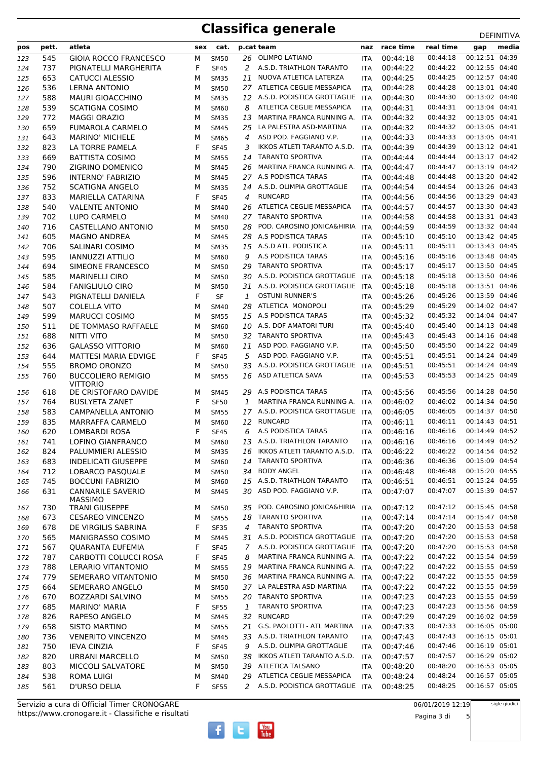# **Classifica generale** DEFINITIVA

| pos        | pett.      | atleta                                       | sex    | cat.                       |             | p.cat team                                       | naz                      | race time            | real time            | media<br>gap                     |
|------------|------------|----------------------------------------------|--------|----------------------------|-------------|--------------------------------------------------|--------------------------|----------------------|----------------------|----------------------------------|
| 123        | 545        | <b>GIOIA ROCCO FRANCESCO</b>                 | М      | <b>SM50</b>                |             | 26 OLIMPO LATIANO                                | ITA                      | 00:44:18             | 00:44:18             | 00:12:51 04:39                   |
| 124        | 737        | PIGNATELLI MARGHERITA                        | F      | <b>SF45</b>                | 2           | A.S.D. TRIATHLON TARANTO                         | ITA                      | 00:44:22             | 00:44:22             | 00:12:55 04:40                   |
| 125        | 653        | <b>CATUCCI ALESSIO</b>                       | M      | <b>SM35</b>                | 11          | NUOVA ATLETICA LATERZA                           | <b>ITA</b>               | 00:44:25             | 00:44:25             | 00:12:57 04:40                   |
| 126        | 536        | <b>LERNA ANTONIO</b>                         | M      | <b>SM50</b>                |             | 27 ATLETICA CEGLIE MESSAPICA                     | ITA                      | 00:44:28             | 00:44:28             | 00:13:01 04:40                   |
| 127        | 588        | <b>MAURI GIOACCHINO</b>                      | М      | <b>SM35</b>                |             | 12 A.S.D. PODISTICA GROTTAGLIE                   | ITA                      | 00:44:30             | 00:44:30             | 00:13:02 04:40                   |
| 128        | 539        | <b>SCATIGNA COSIMO</b>                       | M      | SM60                       | 8           | ATLETICA CEGLIE MESSAPICA                        | <b>ITA</b>               | 00:44:31             | 00:44:31             | 00:13:04 04:41                   |
| 129        | 772        | <b>MAGGI ORAZIO</b>                          | M      | <b>SM35</b>                | 13          | MARTINA FRANCA RUNNING A.                        | <b>ITA</b>               | 00:44:32             | 00:44:32             | 00:13:05 04:41                   |
| 130        | 659        | <b>FUMAROLA CARMELO</b>                      | M      | <b>SM45</b>                | 25          | LA PALESTRA ASD-MARTINA                          | ITA                      | 00:44:32             | 00:44:32             | 00:13:05 04:41                   |
| 131        | 643        | <b>MARINO' MICHELE</b>                       | M      | <b>SM65</b>                | 4           | ASD POD. FAGGIANO V.P.                           | ITA                      | 00:44:33             | 00:44:33             | 00:13:05 04:41                   |
| 132        | 823        | LA TORRE PAMELA                              | F      | <b>SF45</b>                | 3           | IKKOS ATLETI TARANTO A.S.D.                      | <b>ITA</b>               | 00:44:39             | 00:44:39             | 00:13:12 04:41                   |
| 133        | 669        | <b>BATTISTA COSIMO</b>                       | М      | <b>SM55</b>                | 14          | <b>TARANTO SPORTIVA</b>                          | ITA                      | 00:44:44             | 00:44:44             | 00:13:17 04:42                   |
| 134        | 790        | ZIGRINO DOMENICO                             | M      | <b>SM45</b>                | 26          | MARTINA FRANCA RUNNING A.                        | <b>ITA</b>               | 00:44:47             | 00:44:47             | 00:13:19 04:42                   |
| 135        | 596        | INTERNO' FABRIZIO                            | M      | <b>SM45</b>                |             | 27 A.S PODISTICA TARAS                           | <b>ITA</b>               | 00:44:48             | 00:44:48             | 00:13:20 04:42                   |
| 136        | 752        | <b>SCATIGNA ANGELO</b>                       | M      | <b>SM35</b>                |             | 14 A.S.D. OLIMPIA GROTTAGLIE                     | ITA                      | 00:44:54             | 00:44:54             | 00:13:26 04:43                   |
| 137        | 833        | MARIELLA CATARINA                            | F      | <b>SF45</b>                | 4           | <b>RUNCARD</b>                                   | <b>ITA</b>               | 00:44:56             | 00:44:56             | 00:13:29 04:43                   |
| 138        | 540        | <b>VALENTE ANTONIO</b>                       | М      | SM40                       |             | 26 ATLETICA CEGLIE MESSAPICA                     | ITA                      | 00:44:57             | 00:44:57             | 00:13:30 04:43                   |
| 139        | 702        | LUPO CARMELO                                 | М      | <b>SM40</b>                |             | 27 TARANTO SPORTIVA                              | <b>ITA</b>               | 00:44:58             | 00:44:58             | 00:13:31 04:43                   |
| 140        | 716        | CASTELLANO ANTONIO                           | M      | <b>SM50</b>                | 28          | POD. CAROSINO JONICA&HIRIA                       | <b>ITA</b>               | 00:44:59             | 00:44:59             | 00:13:32 04:44                   |
| 141        | 605        | <b>MAGNO ANDREA</b>                          | м      | <b>SM45</b>                |             | 28 A.S PODISTICA TARAS                           | <b>ITA</b>               | 00:45:10             | 00:45:10             | 00:13:42 04:45                   |
| 142        | 706        | SALINARI COSIMO                              | М      | <b>SM35</b>                |             | 15 A.S.D ATL. PODISTICA                          | <b>ITA</b>               | 00:45:11             | 00:45:11             | 00:13:43 04:45                   |
| 143        | 595        | <b>IANNUZZI ATTILIO</b>                      | М      | SM60                       | 9           | A.S PODISTICA TARAS                              | ITA                      | 00:45:16             | 00:45:16             | 00:13:48 04:45                   |
| 144        | 694        | SIMEONE FRANCESCO                            | М      | <b>SM50</b>                | 29          | <b>TARANTO SPORTIVA</b>                          | ITA                      | 00:45:17             | 00:45:17             | 00:13:50 04:45                   |
| 145        | 585        | <b>MARINELLI CIRO</b>                        | М      | <b>SM50</b>                |             | 30 A.S.D. PODISTICA GROTTAGLIE                   | <b>ITA</b>               | 00:45:18             | 00:45:18             | 00:13:50 04:46                   |
| 146        | 584        | <b>FANIGLIULO CIRO</b>                       | M      | <b>SM50</b>                | 31          | A.S.D. PODISTICA GROTTAGLIE                      | <b>ITA</b>               | 00:45:18             | 00:45:18             | 00:13:51 04:46                   |
| 147        | 543        | PIGNATELLI DANIELA                           | F      | SF                         | 1           | <b>OSTUNI RUNNER'S</b>                           | ITA                      | 00:45:26             | 00:45:26             | 00:13:59 04:46<br>00:14:02 04:47 |
| 148        | 507        | COLELLA VITO                                 | M      | <b>SM40</b>                |             | 28 ATLETICA MONOPOLI<br>15 A.S PODISTICA TARAS   | <b>ITA</b>               | 00:45:29             | 00:45:29<br>00:45:32 | 00:14:04 04:47                   |
| 149        | 599<br>511 | <b>MARUCCI COSIMO</b><br>DE TOMMASO RAFFAELE | М      | <b>SM55</b>                |             | 10 A.S. DOF AMATORI TURI                         | <b>ITA</b>               | 00:45:32<br>00:45:40 | 00:45:40             | 00:14:13 04:48                   |
| 150        | 688        | <b>NITTI VITO</b>                            | м<br>М | <b>SM60</b><br><b>SM50</b> | 32          | <b>TARANTO SPORTIVA</b>                          | ITA                      | 00:45:43             | 00:45:43             | 00:14:16 04:48                   |
| 151<br>152 | 636        | <b>GALASSO VITTORIO</b>                      | M      | <b>SM60</b>                | 11          | ASD POD. FAGGIANO V.P.                           | <b>ITA</b><br><b>ITA</b> | 00:45:50             | 00:45:50             | 00:14:22 04:49                   |
| 153        | 644        | <b>MATTESI MARIA EDVIGE</b>                  | F      | <b>SF45</b>                | 5           | ASD POD. FAGGIANO V.P.                           | <b>ITA</b>               | 00:45:51             | 00:45:51             | 00:14:24 04:49                   |
| 154        | 555        | <b>BROMO ORONZO</b>                          | м      | <b>SM50</b>                |             | 33 A.S.D. PODISTICA GROTTAGLIE                   | <b>ITA</b>               | 00:45:51             | 00:45:51             | 00:14:24 04:49                   |
| 155        | 760        | <b>BUCCOLIERO REMIGIO</b>                    | M      | <b>SM55</b>                | 16          | ASD ATLETICA SAVA                                | ITA                      | 00:45:53             | 00:45:53             | 00:14:25 04:49                   |
|            |            | <b>VITTORIO</b>                              |        |                            |             |                                                  |                          |                      |                      |                                  |
| 156        | 618        | DE CRISTOFARO DAVIDE                         | м      | <b>SM45</b>                |             | 29 A.S PODISTICA TARAS                           | <b>ITA</b>               | 00:45:56             | 00:45:56             | 00:14:28 04:50                   |
| 157        | 764        | <b>BUSLYETA ZANET</b>                        | F      | <b>SF50</b>                | 1           | MARTINA FRANCA RUNNING A.                        | ITA                      | 00:46:02             | 00:46:02             | 00:14:34 04:50                   |
| 158        | 583        | CAMPANELLA ANTONIO                           | M      | <b>SM55</b>                |             | 17 A.S.D. PODISTICA GROTTAGLIE                   | <b>ITA</b>               | 00:46:05             | 00:46:05             | 00:14:37 04:50                   |
| 159        | 835        | <b>MARRAFFA CARMELO</b>                      | м      | <b>SM60</b>                | 12          | <b>RUNCARD</b>                                   | ITA                      | 00:46:11             | 00:46:11             | 00:14:43 04:51                   |
| 160        | 620        | LOMBARDI ROSA                                | F      | <b>SF45</b>                | 6           | A.S PODISTICA TARAS                              | <b>ITA</b>               | 00:46:16             | 00:46:16             | 00:14:49 04:52                   |
| 161        | 741        | LOFINO GIANFRANCO                            | М      | <b>SM60</b>                |             | 13 A.S.D. TRIATHLON TARANTO                      | <b>ITA</b>               | 00:46:16             | 00:46:16             | 00:14:49 04:52                   |
| 162        | 824        | PALUMMIERI ALESSIO                           | М      | <b>SM35</b>                | 16          | IKKOS ATLETI TARANTO A.S.D.                      | <b>ITA</b>               | 00:46:22             | 00:46:22             | 00:14:54 04:52                   |
| 163        | 683        | <b>INDELICATI GIUSEPPE</b>                   | М      | SM60                       | 14          | <b>TARANTO SPORTIVA</b>                          | ITA                      | 00:46:36             | 00:46:36             | 00:15:09 04:54                   |
| 164        | 712        | LOBARCO PASQUALE                             | м      | <b>SM50</b>                | 34          | <b>BODY ANGEL</b><br>15 A.S.D. TRIATHLON TARANTO | <b>ITA</b>               | 00:46:48             | 00:46:48             | 00:15:20 04:55<br>00:15:24 04:55 |
| 165        | 745        | <b>BOCCUNI FABRIZIO</b>                      | М      | <b>SM60</b>                |             | 30 ASD POD. FAGGIANO V.P.                        | <b>ITA</b>               | 00:46:51             | 00:46:51<br>00:47:07 | 00:15:39 04:57                   |
| 166        | 631        | <b>CANNARILE SAVERIO</b><br><b>MASSIMO</b>   | М      | <b>SM45</b>                |             |                                                  | ITA                      | 00:47:07             |                      |                                  |
| 167        | 730        | <b>TRANI GIUSEPPE</b>                        | м      | <b>SM50</b>                | 35          | POD. CAROSINO JONICA&HIRIA                       | ITA                      | 00:47:12             | 00:47:12             | 00:15:45 04:58                   |
| 168        | 673        | <b>CESAREO VINCENZO</b>                      | М      | <b>SM55</b>                | 18          | <b>TARANTO SPORTIVA</b>                          | <b>ITA</b>               | 00:47:14             | 00:47:14             | 00:15:47 04:58                   |
| 169        | 678        | DE VIRGILIS SABRINA                          | F      | <b>SF35</b>                | 4           | <b>TARANTO SPORTIVA</b>                          | ITA                      | 00:47:20             | 00:47:20             | 00:15:53 04:58                   |
| 170        | 565        | MANIGRASSO COSIMO                            | М      | <b>SM45</b>                | 31          | A.S.D. PODISTICA GROTTAGLIE ITA                  |                          | 00:47:20             | 00:47:20             | 00:15:53 04:58                   |
| 171        | 567        | <b>QUARANTA EUFEMIA</b>                      | F      | <b>SF45</b>                | $7^{\circ}$ | A.S.D. PODISTICA GROTTAGLIE                      | <b>ITA</b>               | 00:47:20             | 00:47:20             | 00:15:53 04:58                   |
| 172        | 787        | CARBOTTI COLUCCI ROSA                        | F      | <b>SF45</b>                | 8           | MARTINA FRANCA RUNNING A.                        | ITA                      | 00:47:22             | 00:47:22             | 00:15:54 04:59                   |
| 173        | 788        | LERARIO VITANTONIO                           | М      | <b>SM55</b>                | 19          | MARTINA FRANCA RUNNING A. ITA                    |                          | 00:47:22             | 00:47:22             | 00:15:55 04:59                   |
| 174        | 779        | SEMERARO VITANTONIO                          | М      | <b>SM50</b>                | 36          | MARTINA FRANCA RUNNING A.                        | <b>ITA</b>               | 00:47:22             | 00:47:22             | 00:15:55 04:59                   |
| 175        | 664        | SEMERARO ANGELO                              | М      | <b>SM50</b>                |             | 37 LA PALESTRA ASD-MARTINA                       | ITA                      | 00:47:22             | 00:47:22             | 00:15:55 04:59                   |
| 176        | 670        | <b>BOZZARDI SALVINO</b>                      | М      | <b>SM55</b>                |             | 20 TARANTO SPORTIVA                              | ITA                      | 00:47:23             | 00:47:23             | 00:15:55 04:59                   |
| 177        | 685        | <b>MARINO' MARIA</b>                         | F      | <b>SF55</b>                | 1           | <b>TARANTO SPORTIVA</b>                          | ITA                      | 00:47:23             | 00:47:23             | 00:15:56 04:59                   |
| 178        | 826        | RAPESO ANGELO                                | М      | <b>SM45</b>                | 32          | <b>RUNCARD</b>                                   | ITA                      | 00:47:29             | 00:47:29             | 00:16:02 04:59                   |
| 179        | 658        | <b>SISTO MARTINO</b>                         | М      | <b>SM55</b>                | 21          | G.S. PAOLOTTI - ATL MARTINA                      | ITA                      | 00:47:33             | 00:47:33             | 00:16:05 05:00                   |
| 180        | 736        | <b>VENERITO VINCENZO</b>                     | М      | <b>SM45</b>                |             | 33 A.S.D. TRIATHLON TARANTO                      | <b>ITA</b>               | 00:47:43             | 00:47:43             | 00:16:15 05:01                   |
| 181        | 750        | <b>IEVA CINZIA</b>                           | F      | <b>SF45</b>                | 9           | A.S.D. OLIMPIA GROTTAGLIE                        | ITA                      | 00:47:46             | 00:47:46             | 00:16:19 05:01                   |
| 182        | 820        | <b>URBANI MARCELLO</b>                       | М      | <b>SM50</b>                | 38          | IKKOS ATLETI TARANTO A.S.D.                      | <b>ITA</b>               | 00:47:57             | 00:47:57             | 00:16:29 05:02                   |
| 183        | 803        | MICCOLI SALVATORE                            | М      | <b>SM50</b>                |             | 39 ATLETICA TALSANO                              | <b>ITA</b>               | 00:48:20             | 00:48:20             | 00:16:53 05:05                   |
| 184        | 538        | <b>ROMA LUIGI</b>                            | М      | <b>SM40</b>                |             | 29 ATLETICA CEGLIE MESSAPICA                     | ITA                      | 00:48:24             | 00:48:24             | 00:16:57 05:05                   |
| 185        | 561        | D'URSO DELIA                                 | F      | <b>SF55</b>                | 2           | A.S.D. PODISTICA GROTTAGLIE ITA                  |                          | 00:48:25             | 00:48:25             | 00:16:57 05:05                   |

 $\begin{bmatrix}\n\frac{\text{Vou}}{\text{Iube}}\n\end{bmatrix}$ 

Ŧ

 $\mathbf{E}$ 

https://www.cronogare.it - Classifiche e risultati Servizio a cura di Official Timer CRONOGARE

Pagina 3 di 5

sigle giudici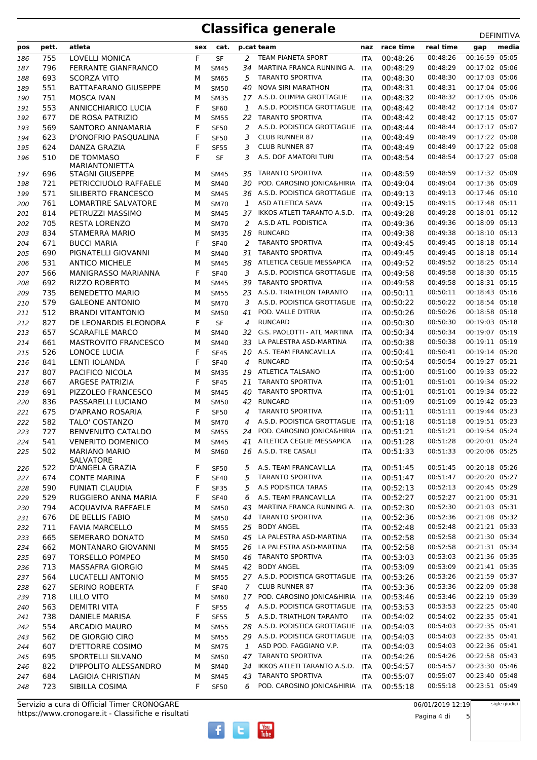# **Classifica generale** DEFINITIVA

| pos | pett. | atleta                                          | sex | cat.        |                | p.cat team                      | naz        | race time | real time | gap            | media |
|-----|-------|-------------------------------------------------|-----|-------------|----------------|---------------------------------|------------|-----------|-----------|----------------|-------|
| 186 | 755   | <b>LOVELLI MONICA</b>                           | F   | <b>SF</b>   | 2              | TEAM PIANETA SPORT              | <b>ITA</b> | 00:48:26  | 00:48:26  | 00:16:59 05:05 |       |
| 187 | 796   | <b>FERRANTE GIANFRANCO</b>                      | М   | <b>SM45</b> | 34             | MARTINA FRANCA RUNNING A.       | <b>ITA</b> | 00:48:29  | 00:48:29  | 00:17:02 05:06 |       |
| 188 | 693   | <b>SCORZA VITO</b>                              | M   | <b>SM65</b> | 5              | <b>TARANTO SPORTIVA</b>         | <b>ITA</b> | 00:48:30  | 00:48:30  | 00:17:03 05:06 |       |
| 189 | 551   | <b>BATTAFARANO GIUSEPPE</b>                     | M   | <b>SM50</b> | 40             | <b>NOVA SIRI MARATHON</b>       | <b>ITA</b> | 00:48:31  | 00:48:31  | 00:17:04 05:06 |       |
| 190 | 751   | <b>MOSCA IVAN</b>                               | М   | <b>SM35</b> |                | 17 A.S.D. OLIMPIA GROTTAGLIE    | <b>ITA</b> | 00:48:32  | 00:48:32  | 00:17:05 05:06 |       |
| 191 | 553   | <b>ANNICCHIARICO LUCIA</b>                      | F   | <b>SF60</b> | 1              | A.S.D. PODISTICA GROTTAGLIE     | <b>ITA</b> | 00:48:42  | 00:48:42  | 00:17:14 05:07 |       |
| 192 | 677   | DE ROSA PATRIZIO                                | М   | <b>SM55</b> | 22             | <b>TARANTO SPORTIVA</b>         | <b>ITA</b> | 00:48:42  | 00:48:42  | 00:17:15 05:07 |       |
| 193 | 569   | SANTORO ANNAMARIA                               | F   | <b>SF50</b> | 2              | A.S.D. PODISTICA GROTTAGLIE     | ITA        | 00:48:44  | 00:48:44  | 00:17:17 05:07 |       |
| 194 | 623   | D'ONOFRIO PASQUALINA                            | F   | <b>SF50</b> | 3              | <b>CLUB RUNNER 87</b>           | ITA        | 00:48:49  | 00:48:49  | 00:17:22 05:08 |       |
| 195 | 624   | DANZA GRAZIA                                    | F   | <b>SF55</b> | 3              | <b>CLUB RUNNER 87</b>           | <b>ITA</b> | 00:48:49  | 00:48:49  | 00:17:22 05:08 |       |
| 196 | 510   | DE TOMMASO                                      | F   | <b>SF</b>   | 3              | A.S. DOF AMATORI TURI           | <b>ITA</b> | 00:48:54  | 00:48:54  | 00:17:27 05:08 |       |
| 197 | 696   | <b>MARIANTONIETTA</b><br><b>STAGNI GIUSEPPE</b> | M   | <b>SM45</b> | 35             | <b>TARANTO SPORTIVA</b>         | <b>ITA</b> | 00:48:59  | 00:48:59  | 00:17:32 05:09 |       |
| 198 | 721   | PETRICCIUOLO RAFFAELE                           | M   | <b>SM40</b> | 30             | POD. CAROSINO JONICA&HIRIA      | <b>ITA</b> | 00:49:04  | 00:49:04  | 00:17:36 05:09 |       |
| 199 | 571   | SILIBERTO FRANCESCO                             | M   | <b>SM45</b> |                | 36 A.S.D. PODISTICA GROTTAGLIE  | ITA        | 00:49:13  | 00:49:13  | 00:17:46 05:10 |       |
| 200 | 761   | LOMARTIRE SALVATORE                             | M   | <b>SM70</b> | 1              | ASD ATLETICA SAVA               | <b>ITA</b> | 00:49:15  | 00:49:15  | 00:17:48 05:11 |       |
| 201 | 814   | PETRUZZI MASSIMO                                | M   | <b>SM45</b> | 37             | IKKOS ATLETI TARANTO A.S.D.     | <b>ITA</b> | 00:49:28  | 00:49:28  | 00:18:01 05:12 |       |
| 202 | 705   | <b>RESTA LORENZO</b>                            | М   | <b>SM70</b> | 2              | A.S.D ATL. PODISTICA            | <b>ITA</b> | 00:49:36  | 00:49:36  | 00:18:09 05:13 |       |
| 203 | 834   | STAMERRA MARIO                                  | М   | <b>SM35</b> | 18             | <b>RUNCARD</b>                  | <b>ITA</b> | 00:49:38  | 00:49:38  | 00:18:10 05:13 |       |
| 204 | 671   | <b>BUCCI MARIA</b>                              | F   | <b>SF40</b> | 2              | <b>TARANTO SPORTIVA</b>         | <b>ITA</b> | 00:49:45  | 00:49:45  | 00:18:18 05:14 |       |
| 205 | 690   | PIGNATELLI GIOVANNI                             | М   | <b>SM40</b> | 31             | <b>TARANTO SPORTIVA</b>         | <b>ITA</b> | 00:49:45  | 00:49:45  | 00:18:18 05:14 |       |
| 206 | 531   | <b>ANTICO MICHELE</b>                           | М   | <b>SM45</b> | 38             | ATLETICA CEGLIE MESSAPICA       | <b>ITA</b> | 00:49:52  | 00:49:52  | 00:18:25 05:14 |       |
| 207 | 566   | MANIGRASSO MARIANNA                             | F   | <b>SF40</b> | 3              | A.S.D. PODISTICA GROTTAGLIE     | <b>ITA</b> | 00:49:58  | 00:49:58  | 00:18:30 05:15 |       |
| 208 | 692   | <b>RIZZO ROBERTO</b>                            | М   | <b>SM45</b> | 39             | <b>TARANTO SPORTIVA</b>         | <b>ITA</b> | 00:49:58  | 00:49:58  | 00:18:31 05:15 |       |
| 209 | 735   | <b>BENEDETTO MARIO</b>                          | M   | <b>SM55</b> | 23             | A.S.D. TRIATHLON TARANTO        | <b>ITA</b> | 00:50:11  | 00:50:11  | 00:18:43 05:16 |       |
| 210 | 579   | <b>GALEONE ANTONIO</b>                          | M   | <b>SM70</b> | 3              | A.S.D. PODISTICA GROTTAGLIE     | <b>ITA</b> | 00:50:22  | 00:50:22  | 00:18:54 05:18 |       |
| 211 | 512   | <b>BRANDI VITANTONIO</b>                        | М   | <b>SM50</b> | 41             | POD. VALLE D'ITRIA              | <b>ITA</b> | 00:50:26  | 00:50:26  | 00:18:58 05:18 |       |
| 212 | 827   | DE LEONARDIS ELEONORA                           | F   | <b>SF</b>   | 4              | <b>RUNCARD</b>                  | <b>ITA</b> | 00:50:30  | 00:50:30  | 00:19:03 05:18 |       |
| 213 | 657   | <b>SCARAFILE MARCO</b>                          | М   | <b>SM40</b> | 32             | G.S. PAOLOTTI - ATL MARTINA     | <b>ITA</b> | 00:50:34  | 00:50:34  | 00:19:07 05:19 |       |
| 214 | 661   | <b>MASTROVITO FRANCESCO</b>                     | М   | <b>SM40</b> | 33             | LA PALESTRA ASD-MARTINA         | <b>ITA</b> | 00:50:38  | 00:50:38  | 00:19:11 05:19 |       |
| 215 | 526   | LONOCE LUCIA                                    | F   | <b>SF45</b> | 10             | A.S. TEAM FRANCAVILLA           | <b>ITA</b> | 00:50:41  | 00:50:41  | 00:19:14 05:20 |       |
| 216 | 841   | LENTI IOLANDA                                   | F   | <b>SF40</b> | 4              | <b>RUNCARD</b>                  | <b>ITA</b> | 00:50:54  | 00:50:54  | 00:19:27 05:21 |       |
| 217 | 807   | PACIFICO NICOLA                                 | М   | <b>SM35</b> | 19             | ATLETICA TALSANO                | <b>ITA</b> | 00:51:00  | 00:51:00  | 00:19:33 05:22 |       |
| 218 | 667   | ARGESE PATRIZIA                                 | F   | <b>SF45</b> | 11             | <b>TARANTO SPORTIVA</b>         | <b>ITA</b> | 00:51:01  | 00:51:01  | 00:19:34 05:22 |       |
| 219 | 691   | PIZZOLEO FRANCESCO                              | M   | <b>SM45</b> | 40             | <b>TARANTO SPORTIVA</b>         | <b>ITA</b> | 00:51:01  | 00:51:01  | 00:19:34 05:22 |       |
| 220 | 836   | PASSARELLI LUCIANO                              | М   | <b>SM50</b> | 42             | <b>RUNCARD</b>                  | <b>ITA</b> | 00:51:09  | 00:51:09  | 00:19:42 05:23 |       |
| 221 | 675   | D'APRANO ROSARIA                                | F   | <b>SF50</b> | 4              | <b>TARANTO SPORTIVA</b>         | <b>ITA</b> | 00:51:11  | 00:51:11  | 00:19:44 05:23 |       |
| 222 | 582   | TALO' COSTANZO                                  | М   | <b>SM70</b> | 4              | A.S.D. PODISTICA GROTTAGLIE     | ITA        | 00:51:18  | 00:51:18  | 00:19:51 05:23 |       |
| 223 | 727   | <b>BENVENUTO CATALDO</b>                        | М   | <b>SM55</b> | 24             | POD. CAROSINO JONICA&HIRIA      | ITA        | 00:51:21  | 00:51:21  | 00:19:54 05:24 |       |
| 224 | 541   | <b>VENERITO DOMENICO</b>                        | М   | <b>SM45</b> | 41             | ATLETICA CEGLIE MESSAPICA       | <b>ITA</b> | 00:51:28  | 00:51:28  | 00:20:01 05:24 |       |
| 225 | 502   | <b>MARIANO MARIO</b>                            | М   | <b>SM60</b> |                | 16 A.S.D. TRE CASALI            | ITA        | 00:51:33  | 00:51:33  | 00:20:06 05:25 |       |
| 226 | 522   | SALVATORE<br>D'ANGELA GRAZIA                    | F   | <b>SF50</b> | 5              | A.S. TEAM FRANCAVILLA           | ITA        | 00:51:45  | 00:51:45  | 00:20:18 05:26 |       |
| 227 | 674   | <b>CONTE MARINA</b>                             | F   | <b>SF40</b> | 5              | <b>TARANTO SPORTIVA</b>         | <b>ITA</b> | 00:51:47  | 00:51:47  | 00:20:20 05:27 |       |
| 228 | 590   | <b>FUNIATI CLAUDIA</b>                          | F   | <b>SF35</b> | 5              | A.S PODISTICA TARAS             | <b>ITA</b> | 00:52:13  | 00:52:13  | 00:20:45 05:29 |       |
| 229 | 529   | RUGGIERO ANNA MARIA                             | F   | <b>SF40</b> | 6              | A.S. TEAM FRANCAVILLA           | <b>ITA</b> | 00:52:27  | 00:52:27  | 00:21:00 05:31 |       |
| 230 | 794   | ACQUAVIVA RAFFAELE                              | М   | <b>SM50</b> | 43             | MARTINA FRANCA RUNNING A.       | ITA        | 00:52:30  | 00:52:30  | 00:21:03 05:31 |       |
| 231 | 676   | DE BELLIS FABIO                                 | М   | <b>SM50</b> | 44             | <b>TARANTO SPORTIVA</b>         | <b>ITA</b> | 00:52:36  | 00:52:36  | 00:21:08 05:32 |       |
| 232 | 711   | <b>FAVIA MARCELLO</b>                           | М   | <b>SM55</b> | 25             | <b>BODY ANGEL</b>               | <b>ITA</b> | 00:52:48  | 00:52:48  | 00:21:21 05:33 |       |
| 233 | 665   | SEMERARO DONATO                                 | М   | <b>SM50</b> |                | 45 LA PALESTRA ASD-MARTINA      | <b>ITA</b> | 00:52:58  | 00:52:58  | 00:21:30 05:34 |       |
| 234 | 662   | MONTANARO GIOVANNI                              | М   | <b>SM55</b> | 26             | LA PALESTRA ASD-MARTINA         | <b>ITA</b> | 00:52:58  | 00:52:58  | 00:21:31 05:34 |       |
| 235 | 697   | <b>TORSELLO POMPEO</b>                          | М   | <b>SM50</b> | 46             | <b>TARANTO SPORTIVA</b>         | ITA        | 00:53:03  | 00:53:03  | 00:21:36 05:35 |       |
| 236 | 713   | MASSAFRA GIORGIO                                | М   | <b>SM45</b> | 42             | <b>BODY ANGEL</b>               | <b>ITA</b> | 00:53:09  | 00:53:09  | 00:21:41 05:35 |       |
| 237 | 564   | LUCATELLI ANTONIO                               | М   | <b>SM55</b> |                | 27 A.S.D. PODISTICA GROTTAGLIE  | ITA        | 00:53:26  | 00:53:26  | 00:21:59 05:37 |       |
| 238 | 627   | SERINO ROBERTA                                  | F   | <b>SF40</b> | $\overline{7}$ | <b>CLUB RUNNER 87</b>           | <b>ITA</b> | 00:53:36  | 00:53:36  | 00:22:09 05:38 |       |
| 239 | 718   | <b>LILLO VITO</b>                               | М   | <b>SM60</b> | 17             | POD. CAROSINO JONICA&HIRIA ITA  |            | 00:53:46  | 00:53:46  | 00:22:19 05:39 |       |
| 240 | 563   | <b>DEMITRI VITA</b>                             | F   | <b>SF55</b> | 4              | A.S.D. PODISTICA GROTTAGLIE ITA |            | 00:53:53  | 00:53:53  | 00:22:25 05:40 |       |
| 241 | 738   | DANIELE MARISA                                  | F   | <b>SF55</b> | 5              | A.S.D. TRIATHLON TARANTO        | <b>ITA</b> | 00:54:02  | 00:54:02  | 00:22:35 05:41 |       |
| 242 | 554   | ARCADIO MAURO                                   | М   | <b>SM55</b> | 28             | A.S.D. PODISTICA GROTTAGLIE ITA |            | 00:54:03  | 00:54:03  | 00:22:35 05:41 |       |
| 243 | 562   | DE GIORGIO CIRO                                 | М   | <b>SM55</b> |                | 29 A.S.D. PODISTICA GROTTAGLIE  | <b>ITA</b> | 00:54:03  | 00:54:03  | 00:22:35 05:41 |       |
| 244 | 607   | <b>D'ETTORRE COSIMO</b>                         | М   | <b>SM75</b> | 1              | ASD POD. FAGGIANO V.P.          | <b>ITA</b> | 00:54:03  | 00:54:03  | 00:22:36 05:41 |       |
| 245 | 695   | SPORTELLI SILVANO                               | М   | <b>SM50</b> | 47             | <b>TARANTO SPORTIVA</b>         | <b>ITA</b> | 00:54:26  | 00:54:26  | 00:22:58 05:43 |       |
| 246 | 822   | D'IPPOLITO ALESSANDRO                           | М   | <b>SM40</b> | 34             | IKKOS ATLETI TARANTO A.S.D.     | ITA        | 00:54:57  | 00:54:57  | 00:23:30 05:46 |       |
| 247 | 684   | LAGIOIA CHRISTIAN                               | М   | <b>SM45</b> | 43             | <b>TARANTO SPORTIVA</b>         | <b>ITA</b> | 00:55:07  | 00:55:07  | 00:23:40 05:48 |       |
| 248 | 723   | SIBILLA COSIMA                                  | F   | <b>SF50</b> | 6              | POD. CAROSINO JONICA&HIRIA ITA  |            | 00:55:18  | 00:55:18  | 00:23:51 05:49 |       |

 $\begin{bmatrix}\n\frac{\text{Vou}}{\text{Iube}}\n\end{bmatrix}$ 

Ŧ

 $\mathbf{E}$ 

https://www.cronogare.it - Classifiche e risultati Servizio a cura di Official Timer CRONOGARE

06/01/2019 12:19

Pagina 4 di 5

sigle giudici